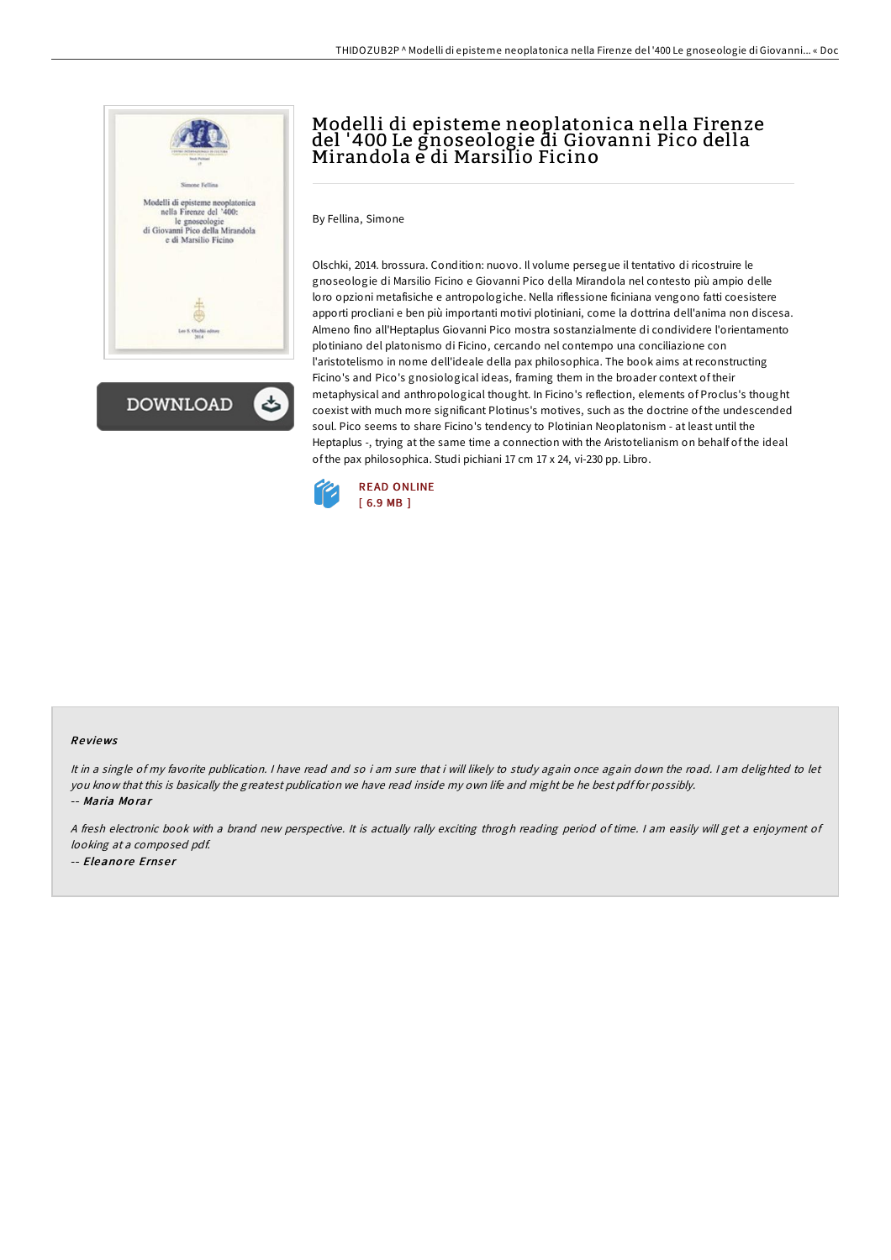



# Modelli di episteme neoplatonica nella Firenze del '400 Le gnoseologie di Giovanni Pico della Mirandola e di Marsilio Ficino

By Fellina, Simone

Olschki, 2014. brossura. Condition: nuovo. Il volume persegue il tentativo di ricostruire le gnoseologie di Marsilio Ficino e Giovanni Pico della Mirandola nel contesto più ampio delle loro opzioni metafisiche e antropologiche. Nella riflessione ficiniana vengono fatti coesistere apporti procliani e ben più importanti motivi plotiniani, come la dottrina dell'anima non discesa. Almeno fino all'Heptaplus Giovanni Pico mostra sostanzialmente di condividere l'orientamento plotiniano del platonismo di Ficino, cercando nel contempo una conciliazione con l'aristotelismo in nome dell'ideale della pax philosophica. The book aims at reconstructing Ficino's and Pico's gnosiological ideas, framing them in the broader context of their metaphysical and anthropological thought. In Ficino's reflection, elements of Proclus's thought coexist with much more significant Plotinus's motives, such as the doctrine of the undescended soul. Pico seems to share Ficino's tendency to Plotinian Neoplatonism - at least until the Heptaplus -, trying at the same time a connection with the Aristotelianism on behalf of the ideal of the pax philosophica. Studi pichiani 17 cm 17 x 24, vi-230 pp. Libro.



#### Re views

It in <sup>a</sup> single of my favorite publication. <sup>I</sup> have read and so i am sure that i will likely to study again once again down the road. <sup>I</sup> am delighted to let you know that this is basically the greatest publication we have read inside my own life and might be he best pdf for possibly. -- Maria Mo rar

<sup>A</sup> fresh electronic book with <sup>a</sup> brand new perspective. It is actually rally exciting throgh reading period of time. <sup>I</sup> am easily will get <sup>a</sup> enjoyment of looking at <sup>a</sup> composed pdf. -- Eleanore Ernser